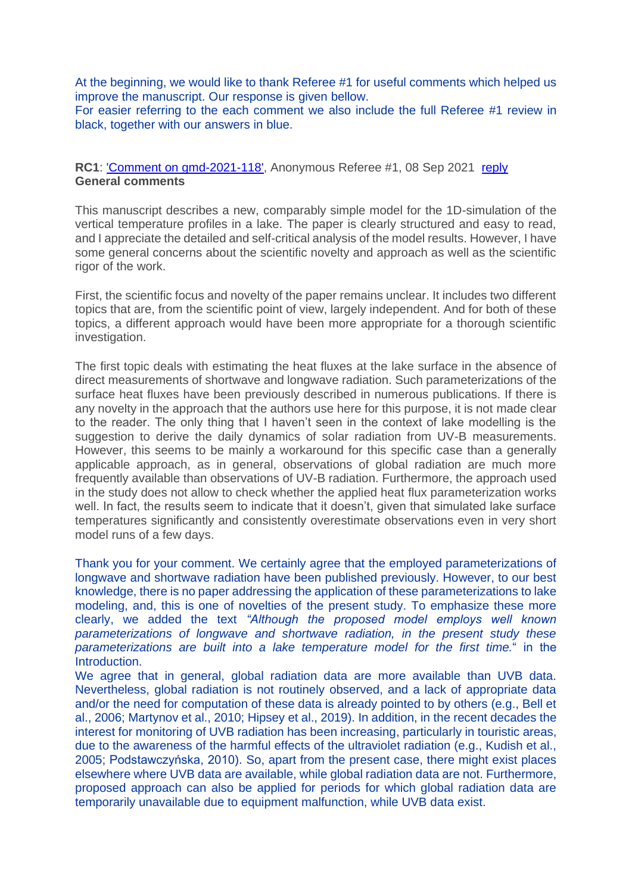At the beginning, we would like to thank Referee #1 for useful comments which helped us improve the manuscript. Our response is given bellow.

For easier referring to the each comment we also include the full Referee #1 review in black, together with our answers in blue.

RC1: Comment on gmd-2021-118', Anonymous Referee #1, 08 Sep 2021 [reply](https://editor.copernicus.org/index.php?_mdl=msover_md&_jrl=365&_lcm=oc116lcm117t&_acm=open&_ms=93999&p=210497&salt=550574191258076068) **General comments**

This manuscript describes a new, comparably simple model for the 1D-simulation of the vertical temperature profiles in a lake. The paper is clearly structured and easy to read, and I appreciate the detailed and self-critical analysis of the model results. However, I have some general concerns about the scientific novelty and approach as well as the scientific rigor of the work.

First, the scientific focus and novelty of the paper remains unclear. It includes two different topics that are, from the scientific point of view, largely independent. And for both of these topics, a different approach would have been more appropriate for a thorough scientific investigation.

The first topic deals with estimating the heat fluxes at the lake surface in the absence of direct measurements of shortwave and longwave radiation. Such parameterizations of the surface heat fluxes have been previously described in numerous publications. If there is any novelty in the approach that the authors use here for this purpose, it is not made clear to the reader. The only thing that I haven't seen in the context of lake modelling is the suggestion to derive the daily dynamics of solar radiation from UV-B measurements. However, this seems to be mainly a workaround for this specific case than a generally applicable approach, as in general, observations of global radiation are much more frequently available than observations of UV-B radiation. Furthermore, the approach used in the study does not allow to check whether the applied heat flux parameterization works well. In fact, the results seem to indicate that it doesn't, given that simulated lake surface temperatures significantly and consistently overestimate observations even in very short model runs of a few days.

Thank you for your comment. We certainly agree that the employed parameterizations of longwave and shortwave radiation have been published previously. However, to our best knowledge, there is no paper addressing the application of these parameterizations to lake modeling, and, this is one of novelties of the present study. To emphasize these more clearly, we added the text *"Although the proposed model employs well known parameterizations of longwave and shortwave radiation, in the present study these parameterizations are built into a lake temperature model for the first time.*" in the Introduction.

We agree that in general, global radiation data are more available than UVB data. Nevertheless, global radiation is not routinely observed, and a lack of appropriate data and/or the need for computation of these data is already pointed to by others (e.g., Bell et al., 2006; Martynov et al., 2010; Hipsey et al., 2019). In addition, in the recent decades the interest for monitoring of UVB radiation has been increasing, particularly in touristic areas, due to the awareness of the harmful effects of the ultraviolet radiation (e.g., Kudish et al., 2005; Podstawczyńska, 2010). So, apart from the present case, there might exist places elsewhere where UVB data are available, while global radiation data are not. Furthermore, proposed approach can also be applied for periods for which global radiation data are temporarily unavailable due to equipment malfunction, while UVB data exist.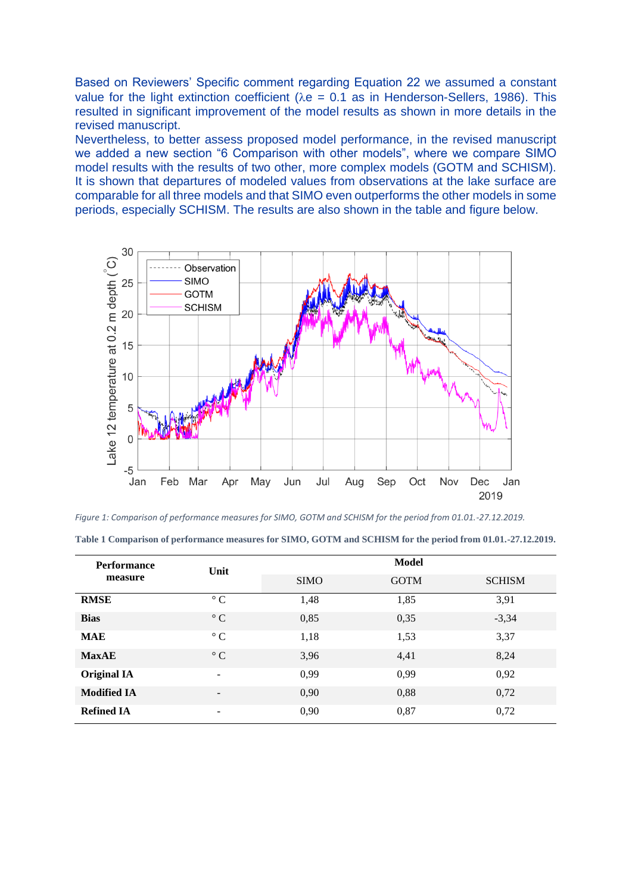Based on Reviewers' Specific comment regarding Equation 22 we assumed a constant value for the light extinction coefficient ( $\lambda e = 0.1$  as in Henderson-Sellers, 1986). This resulted in significant improvement of the model results as shown in more details in the revised manuscript.

Nevertheless, to better assess proposed model performance, in the revised manuscript we added a new section "6 Comparison with other models", where we compare SIMO model results with the results of two other, more complex models (GOTM and SCHISM). It is shown that departures of modeled values from observations at the lake surface are comparable for all three models and that SIMO even outperforms the other models in some periods, especially SCHISM. The results are also shown in the table and figure below.



*Figure 1: Comparison of performance measures for SIMO, GOTM and SCHISM for the period from 01.01.-27.12.2019.*

| <b>Performance</b><br>measure | Unit                     | <b>Model</b> |             |               |
|-------------------------------|--------------------------|--------------|-------------|---------------|
|                               |                          | <b>SIMO</b>  | <b>GOTM</b> | <b>SCHISM</b> |
| <b>RMSE</b>                   | $\circ$ C                | 1,48         | 1,85        | 3,91          |
| <b>Bias</b>                   | $\circ$ C                | 0,85         | 0,35        | $-3,34$       |
| <b>MAE</b>                    | $\circ$ C                | 1,18         | 1,53        | 3,37          |
| <b>MaxAE</b>                  | $\circ$ C                | 3,96         | 4,41        | 8,24          |
| <b>Original IA</b>            | $\overline{\phantom{a}}$ | 0,99         | 0,99        | 0,92          |
| <b>Modified IA</b>            | $\overline{\phantom{a}}$ | 0,90         | 0,88        | 0,72          |
| <b>Refined IA</b>             | $\overline{\phantom{a}}$ | 0,90         | 0,87        | 0,72          |

**Table 1 Comparison of performance measures for SIMO, GOTM and SCHISM for the period from 01.01.-27.12.2019.**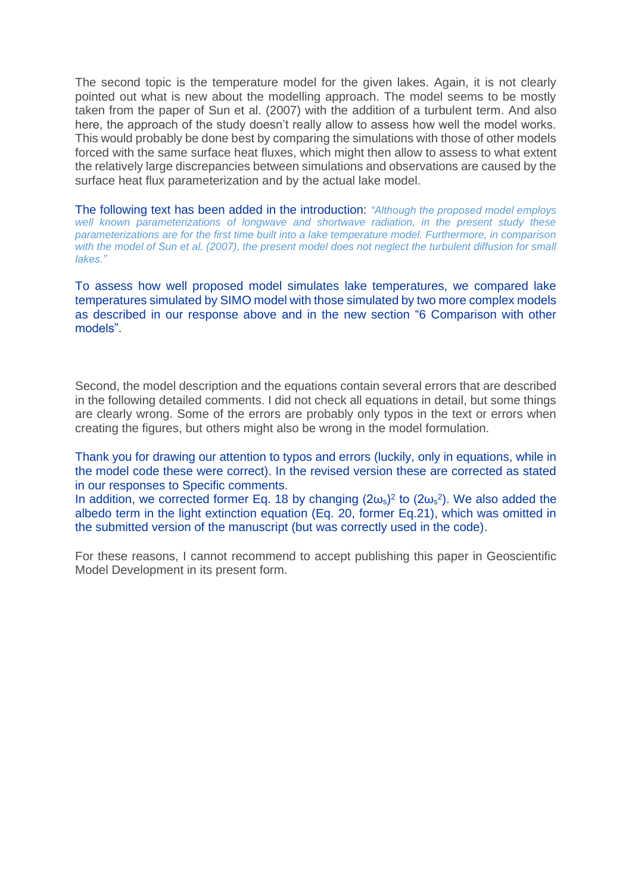The second topic is the temperature model for the given lakes. Again, it is not clearly pointed out what is new about the modelling approach. The model seems to be mostly taken from the paper of Sun et al. (2007) with the addition of a turbulent term. And also here, the approach of the study doesn't really allow to assess how well the model works. This would probably be done best by comparing the simulations with those of other models forced with the same surface heat fluxes, which might then allow to assess to what extent the relatively large discrepancies between simulations and observations are caused by the surface heat flux parameterization and by the actual lake model.

The following text has been added in the introduction: *"Although the proposed model employs well known parameterizations of longwave and shortwave radiation, in the present study these parameterizations are for the first time built into a lake temperature model. Furthermore, in comparison with the model of Sun et al. (2007), the present model does not neglect the turbulent diffusion for small lakes."*

To assess how well proposed model simulates lake temperatures, we compared lake temperatures simulated by SIMO model with those simulated by two more complex models as described in our response above and in the new section "6 Comparison with other models".

Second, the model description and the equations contain several errors that are described in the following detailed comments. I did not check all equations in detail, but some things are clearly wrong. Some of the errors are probably only typos in the text or errors when creating the figures, but others might also be wrong in the model formulation.

Thank you for drawing our attention to typos and errors (luckily, only in equations, while in the model code these were correct). In the revised version these are corrected as stated in our responses to Specific comments.

In addition, we corrected former Eq. 18 by changing  $(2\omega_s)^2$  to  $(2\omega_s^2)$ . We also added the albedo term in the light extinction equation (Eq. 20, former Eq.21), which was omitted in the submitted version of the manuscript (but was correctly used in the code).

For these reasons, I cannot recommend to accept publishing this paper in Geoscientific Model Development in its present form.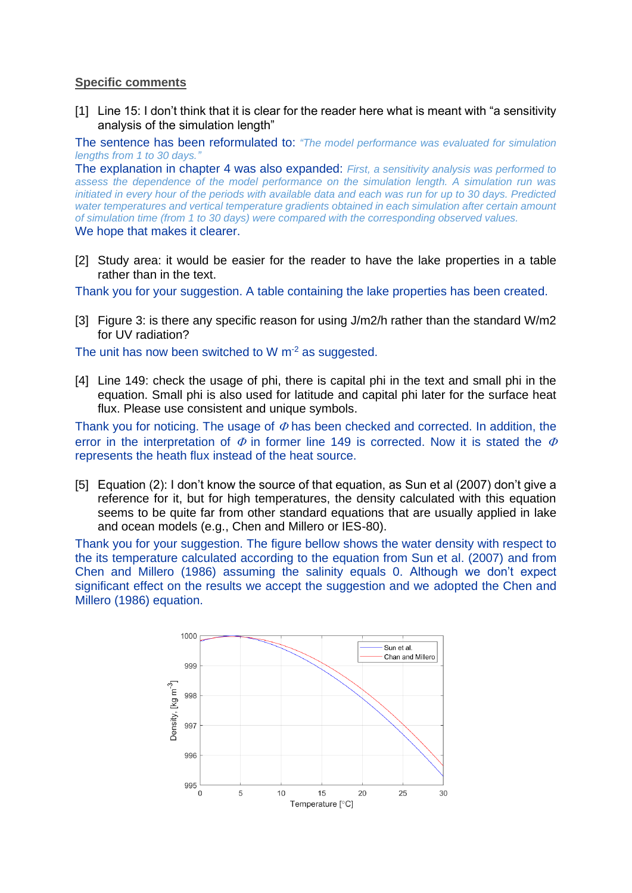## **Specific comments**

[1] Line 15: I don't think that it is clear for the reader here what is meant with "a sensitivity analysis of the simulation length"

The sentence has been reformulated to: *"The model performance was evaluated for simulation lengths from 1 to 30 days."*

The explanation in chapter 4 was also expanded: *First, a sensitivity analysis was performed to assess the dependence of the model performance on the simulation length. A simulation run was initiated in every hour of the periods with available data and each was run for up to 30 days. Predicted water temperatures and vertical temperature gradients obtained in each simulation after certain amount of simulation time (from 1 to 30 days) were compared with the corresponding observed values.*  We hope that makes it clearer.

[2] Study area: it would be easier for the reader to have the lake properties in a table rather than in the text.

Thank you for your suggestion. A table containing the lake properties has been created.

[3] Figure 3: is there any specific reason for using J/m2/h rather than the standard W/m2 for UV radiation?

The unit has now been switched to  $W$  m<sup>-2</sup> as suggested.

[4] Line 149: check the usage of phi, there is capital phi in the text and small phi in the equation. Small phi is also used for latitude and capital phi later for the surface heat flux. Please use consistent and unique symbols.

Thank you for noticing. The usage of  $\Phi$  has been checked and corrected. In addition, the error in the interpretation of  $\Phi$  in former line 149 is corrected. Now it is stated the  $\Phi$ represents the heath flux instead of the heat source.

[5] Equation (2): I don't know the source of that equation, as Sun et al (2007) don't give a reference for it, but for high temperatures, the density calculated with this equation seems to be quite far from other standard equations that are usually applied in lake and ocean models (e.g., Chen and Millero or IES-80).

Thank you for your suggestion. The figure bellow shows the water density with respect to the its temperature calculated according to the equation from Sun et al. (2007) and from Chen and Millero (1986) assuming the salinity equals 0. Although we don't expect significant effect on the results we accept the suggestion and we adopted the Chen and Millero (1986) equation.

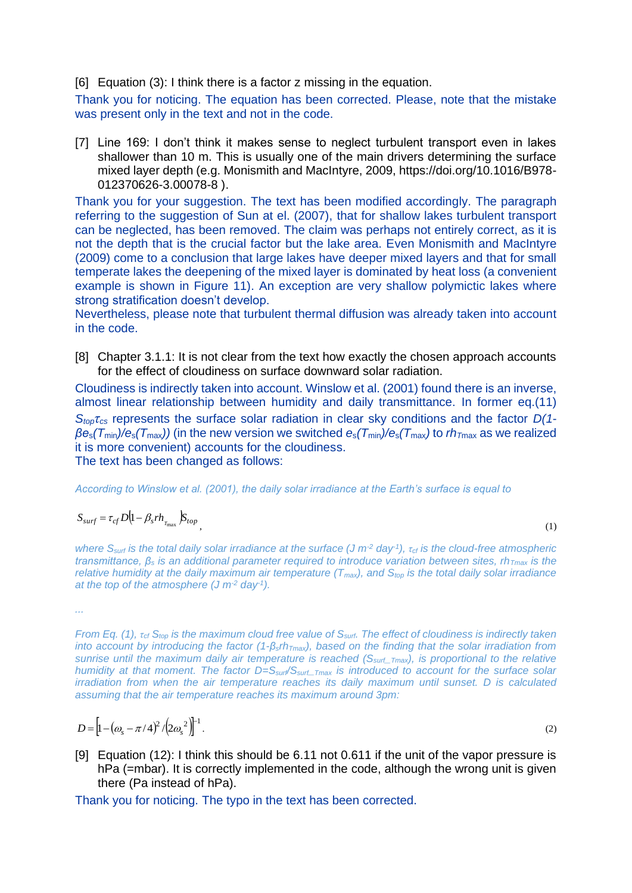[6] Equation (3): I think there is a factor z missing in the equation.

Thank you for noticing. The equation has been corrected. Please, note that the mistake was present only in the text and not in the code.

[7] Line 169: I don't think it makes sense to neglect turbulent transport even in lakes shallower than 10 m. This is usually one of the main drivers determining the surface mixed layer depth (e.g. Monismith and MacIntyre, 2009, https://doi.org/10.1016/B978- 012370626-3.00078-8 ).

Thank you for your suggestion. The text has been modified accordingly. The paragraph referring to the suggestion of Sun at el. (2007), that for shallow lakes turbulent transport can be neglected, has been removed. The claim was perhaps not entirely correct, as it is not the depth that is the crucial factor but the lake area. Even Monismith and MacIntyre (2009) come to a conclusion that large lakes have deeper mixed layers and that for small temperate lakes the deepening of the mixed layer is dominated by heat loss (a convenient example is shown in Figure 11). An exception are very shallow polymictic lakes where strong stratification doesn't develop.

Nevertheless, please note that turbulent thermal diffusion was already taken into account in the code.

[8] Chapter 3.1.1: It is not clear from the text how exactly the chosen approach accounts for the effect of cloudiness on surface downward solar radiation.

Cloudiness is indirectly taken into account. Winslow et al. (2001) found there is an inverse, almost linear relationship between humidity and daily transmittance. In former eq.(11) *Stopτcs* represents the surface solar radiation in clear sky conditions and the factor *D(1 βe*s*(T*min*)/e*s*(T*max*))* (in the new version we switched *e*s*(T*min*)/e*s*(T*max*)* to *rh<sup>T</sup>*max as we realized it is more convenient) accounts for the cloudiness. The text has been changed as follows:

*According to Winslow et al. (2001), the daily solar irradiance at the Earth's surface is equal to*

$$
S_{surf} = \tau_{cf} D \left( 1 - \beta_s rh_{\tau_{\text{max}}} \right) S_{top}
$$

,  $(1)$ 

*where S<sub>surf</sub> is the total daily solar irradiance at the surface (J m<sup>-2</sup> day<sup>-1</sup>), τ<sub>cf</sub> is the cloud-free atmospheric transmittance, β<sup>s</sup> is an additional parameter required to introduce variation between sites, rhTmax is the relative humidity at the daily maximum air temperature (* $T<sub>max</sub>$ *), and*  $S<sub>top</sub>$  *is the total daily solar irradiance at the top of the atmosphere (J m-2 day-1 ).* 

*...*

*From Eq. [\(1\)](#page-4-0), τcf Stop is the maximum cloud free value of Ssurf. The effect of cloudiness is indirectly taken into account by introducing the factor (1-βsrhTmax), based on the finding that the solar irradiation from sunrise until the maximum daily air temperature is reached (Ssurf\_Tmax), is proportional to the relative humidity at that moment. The factor D=Ssurf/Ssurf\_Tmax is introduced to account for the surface solar irradiation from when the air temperature reaches its daily maximum until sunset. D is calculated assuming that the air temperature reaches its maximum around 3pm:*

$$
D = \left[1 - \left(\omega_s - \pi/4\right)^2 / \left(2\omega_s^2\right)\right]^{-1}.
$$
 (2)

<span id="page-4-0"></span>

[9] Equation (12): I think this should be 6.11 not 0.611 if the unit of the vapor pressure is hPa (=mbar). It is correctly implemented in the code, although the wrong unit is given there (Pa instead of hPa).

Thank you for noticing. The typo in the text has been corrected.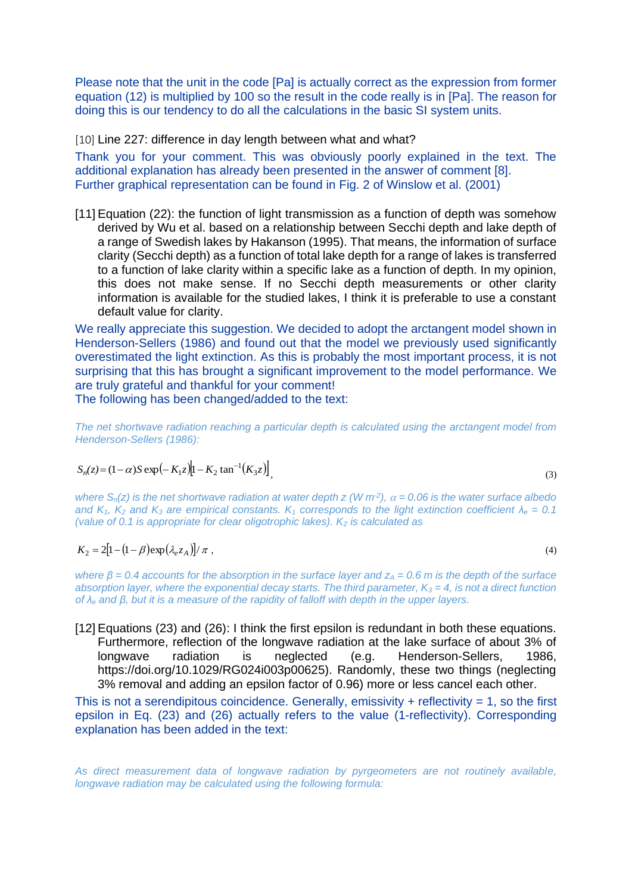Please note that the unit in the code [Pa] is actually correct as the expression from former equation (12) is multiplied by 100 so the result in the code really is in [Pa]. The reason for doing this is our tendency to do all the calculations in the basic SI system units.

[10] Line 227: difference in day length between what and what?

Thank you for your comment. This was obviously poorly explained in the text. The additional explanation has already been presented in the answer of comment [8]. Further graphical representation can be found in Fig. 2 of Winslow et al. (2001)

[11] Equation (22): the function of light transmission as a function of depth was somehow derived by Wu et al. based on a relationship between Secchi depth and lake depth of a range of Swedish lakes by Hakanson (1995). That means, the information of surface clarity (Secchi depth) as a function of total lake depth for a range of lakes is transferred to a function of lake clarity within a specific lake as a function of depth. In my opinion, this does not make sense. If no Secchi depth measurements or other clarity information is available for the studied lakes, I think it is preferable to use a constant default value for clarity.

We really appreciate this suggestion. We decided to adopt the arctangent model shown in Henderson-Sellers (1986) and found out that the model we previously used significantly overestimated the light extinction. As this is probably the most important process, it is not surprising that this has brought a significant improvement to the model performance. We are truly grateful and thankful for your comment!

The following has been changed/added to the text:

*The net shortwave radiation reaching a particular depth is calculated using the arctangent model from Henderson-Sellers (1986):*

$$
S_n(z) = (1 - \alpha)S \exp\left(-K_1 z\right) \left[1 - K_2 \tan^{-1}(K_3 z)\right],
$$
\n(3)

*where*  $S_n(z)$  is the net shortwave radiation at water depth z (W  $m^2$ ),  $\alpha$  = 0.06 is the water surface albedo *and*  $K_1$ ,  $K_2$  *and*  $K_3$  *are empirical constants.*  $K_1$  *corresponds to the light extinction coefficient*  $\lambda_e = 0.1$ *(value of 0.1 is appropriate for clear oligotrophic lakes). K<sup>2</sup> is calculated as* 

$$
K_2 = 2\left[1 - \left(1 - \beta\right)\exp\left(\lambda_e z_A\right)\right] / \pi \tag{4}
$$

*where β* = 0.4 accounts for the absorption in the surface layer and z<sub>A</sub> = 0.6 m is the depth of the surface *absorption layer, where the exponential decay starts. The third parameter, K<sup>3</sup> = 4, is not a direct function of λ<sup>e</sup> and β, but it is a measure of the rapidity of falloff with depth in the upper layers.*

[12] Equations (23) and (26): I think the first epsilon is redundant in both these equations. Furthermore, reflection of the longwave radiation at the lake surface of about 3% of longwave radiation is neglected (e.g. Henderson-Sellers, 1986, https://doi.org/10.1029/RG024i003p00625). Randomly, these two things (neglecting 3% removal and adding an epsilon factor of 0.96) more or less cancel each other.

This is not a serendipitous coincidence. Generally, emissivity  $+$  reflectivity = 1, so the first epsilon in Eq. (23) and (26) actually refers to the value (1-reflectivity). Corresponding explanation has been added in the text:

*As direct measurement data of longwave radiation by pyrgeometers are not routinely available, longwave radiation may be calculated using the following formula:*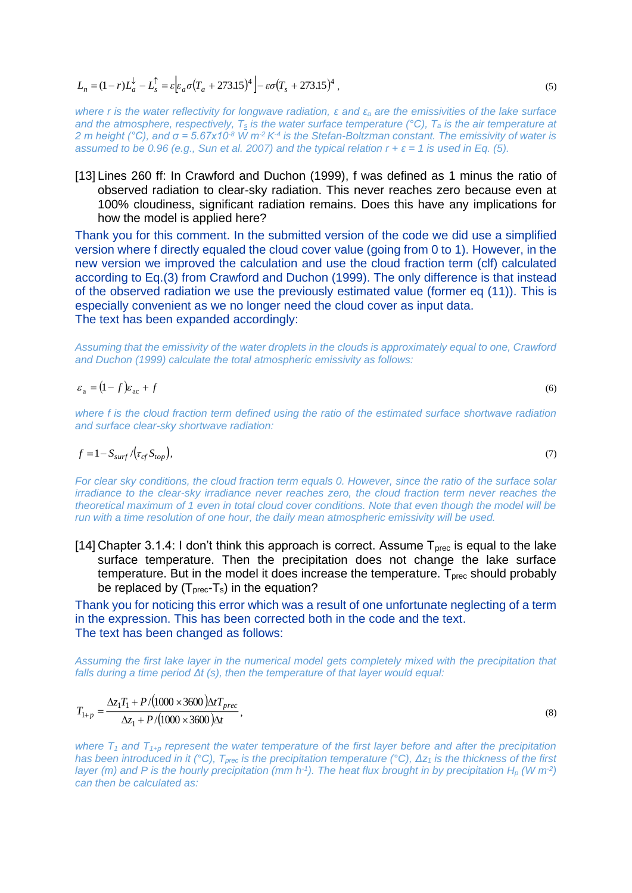$L_n = (1 - r)L_a^{\downarrow} - L_s^{\uparrow} = \varepsilon \Big[ \varepsilon_a \sigma (T_a + 273.15)^4 \Big] - \varepsilon \sigma (T_s + 273.15)^4$ 

*where r is the water reflectivity for longwave radiation, ε and ε<sup>a</sup> are the emissivities of the lake surface and the atmosphere, respectively, T<sup>s</sup> is the water surface temperature (°C), T<sup>a</sup> is the air temperature at 2 m height (°C), and σ = 5.67x10-8 W m-2 K-4 is the Stefan-Boltzman constant. The emissivity of water is assumed to be 0.96 (e.g., Sun et al. 2007) and the typical relation*  $r + \varepsilon = 1$  *is used in Eq. [\(5\)](#page-6-0).* 

[13] Lines 260 ff: In Crawford and Duchon (1999), f was defined as 1 minus the ratio of observed radiation to clear-sky radiation. This never reaches zero because even at 100% cloudiness, significant radiation remains. Does this have any implications for how the model is applied here?

Thank you for this comment. In the submitted version of the code we did use a simplified version where f directly equaled the cloud cover value (going from 0 to 1). However, in the new version we improved the calculation and use the cloud fraction term (clf) calculated according to Eq.(3) from Crawford and Duchon (1999). The only difference is that instead of the observed radiation we use the previously estimated value (former eq (11)). This is especially convenient as we no longer need the cloud cover as input data. The text has been expanded accordingly:

*Assuming that the emissivity of the water droplets in the clouds is approximately equal to one, Crawford and Duchon (1999) calculate the total atmospheric emissivity as follows:*

$$
\varepsilon_{\rm a} = (1-f)\varepsilon_{\rm ac} + f
$$

*where f is the cloud fraction term defined using the ratio of the estimated surface shortwave radiation and surface clear-sky shortwave radiation:*

$$
f = 1 - S_{surf} / (\tau_{cf} S_{top}),\tag{7}
$$

*For clear sky conditions, the cloud fraction term equals 0. However, since the ratio of the surface solar irradiance to the clear-sky irradiance never reaches zero, the cloud fraction term never reaches the theoretical maximum of 1 even in total cloud cover conditions. Note that even though the model will be run with a time resolution of one hour, the daily mean atmospheric emissivity will be used.* 

[14] Chapter 3.1.4: I don't think this approach is correct. Assume  $T_{\text{prec}}$  is equal to the lake surface temperature. Then the precipitation does not change the lake surface temperature. But in the model it does increase the temperature.  $T_{prec}$  should probably be replaced by  $(T_{\text{prec}}-T_s)$  in the equation?

Thank you for noticing this error which was a result of one unfortunate neglecting of a term in the expression. This has been corrected both in the code and the text. The text has been changed as follows:

*Assuming the first lake layer in the numerical model gets completely mixed with the precipitation that falls during a time period Δt (s), then the temperature of that layer would equal:* 

$$
T_{1+p} = \frac{\Delta z_1 T_1 + P/(1000 \times 3600) \Delta t T_{prec}}{\Delta z_1 + P/(1000 \times 3600) \Delta t},
$$
\n(8)

where  $T_1$  and  $T_{1+p}$  represent the water temperature of the first layer before and after the precipitation *has been introduced in it (°C), Tprec is the precipitation temperature (°C), Δz<sup>1</sup> is the thickness of the first layer (m) and P is the hourly precipitation (mm*  $h^{-1}$ *). The heat flux brought in by precipitation*  $H_p$  *(W m<sup>-2</sup>) can then be calculated as:*

<span id="page-6-0"></span>(6)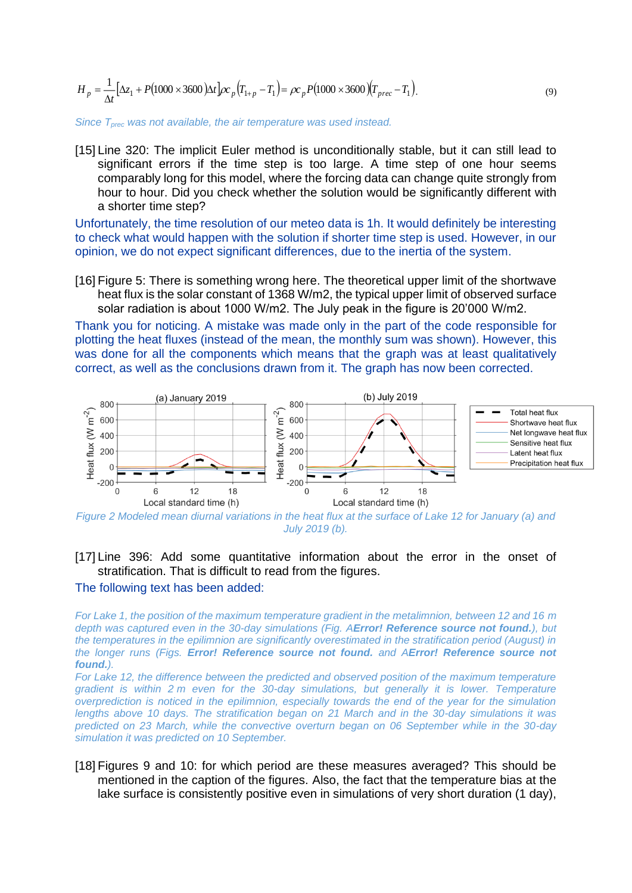$$
H_p = \frac{1}{\Delta t} [\Delta z_1 + P(1000 \times 3600) \Delta t] \rho c_p (T_{1+p} - T_1) = \rho c_p P(1000 \times 3600) (T_{prec} - T_1).
$$
\n(9)

*Since Tprec was not available, the air temperature was used instead.*

[15] Line 320: The implicit Euler method is unconditionally stable, but it can still lead to significant errors if the time step is too large. A time step of one hour seems comparably long for this model, where the forcing data can change quite strongly from hour to hour. Did you check whether the solution would be significantly different with a shorter time step?

Unfortunately, the time resolution of our meteo data is 1h. It would definitely be interesting to check what would happen with the solution if shorter time step is used. However, in our opinion, we do not expect significant differences, due to the inertia of the system.

[16] Figure 5: There is something wrong here. The theoretical upper limit of the shortwave heat flux is the solar constant of 1368 W/m2, the typical upper limit of observed surface solar radiation is about 1000 W/m2. The July peak in the figure is 20'000 W/m2.

Thank you for noticing. A mistake was made only in the part of the code responsible for plotting the heat fluxes (instead of the mean, the monthly sum was shown). However, this was done for all the components which means that the graph was at least qualitatively correct, as well as the conclusions drawn from it. The graph has now been corrected.



*Figure 2 Modeled mean diurnal variations in the heat flux at the surface of Lake 12 for January (a) and July 2019 (b).*

## [17] Line 396: Add some quantitative information about the error in the onset of stratification. That is difficult to read from the figures.

## The following text has been added:

*For Lake 1, the position of the maximum temperature gradient in the metalimnion, between 12 and 16 m depth was captured even in the 30-day simulations (Fig. AError! Reference source not found.), but the temperatures in the epilimnion are significantly overestimated in the stratification period (August) in the longer runs (Figs. Error! Reference source not found. and AError! Reference source not found.).* 

For Lake 12, the difference between the predicted and observed position of the maximum temperature *gradient is within 2 m even for the 30-day simulations, but generally it is lower. Temperature overprediction is noticed in the epilimnion, especially towards the end of the year for the simulation lengths above 10 days. The stratification began on 21 March and in the 30-day simulations it was predicted on 23 March, while the convective overturn began on 06 September while in the 30-day simulation it was predicted on 10 September.*

[18] Figures 9 and 10: for which period are these measures averaged? This should be mentioned in the caption of the figures. Also, the fact that the temperature bias at the lake surface is consistently positive even in simulations of very short duration (1 day),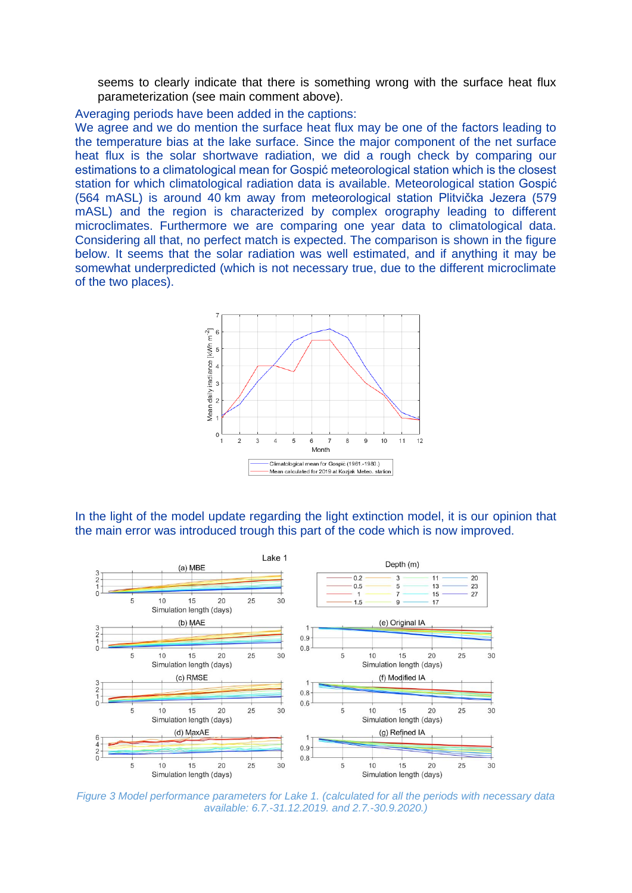seems to clearly indicate that there is something wrong with the surface heat flux parameterization (see main comment above).

Averaging periods have been added in the captions:

We agree and we do mention the surface heat flux may be one of the factors leading to the temperature bias at the lake surface. Since the major component of the net surface heat flux is the solar shortwave radiation, we did a rough check by comparing our estimations to a climatological mean for Gospić meteorological station which is the closest station for which climatological radiation data is available. Meteorological station Gospić (564 mASL) is around 40 km away from meteorological station Plitvička Jezera (579 mASL) and the region is characterized by complex orography leading to different microclimates. Furthermore we are comparing one year data to climatological data. Considering all that, no perfect match is expected. The comparison is shown in the figure below. It seems that the solar radiation was well estimated, and if anything it may be somewhat underpredicted (which is not necessary true, due to the different microclimate of the two places).



In the light of the model update regarding the light extinction model, it is our opinion that the main error was introduced trough this part of the code which is now improved.



*Figure 3 Model performance parameters for Lake 1. (calculated for all the periods with necessary data available: 6.7.-31.12.2019. and 2.7.-30.9.2020.)*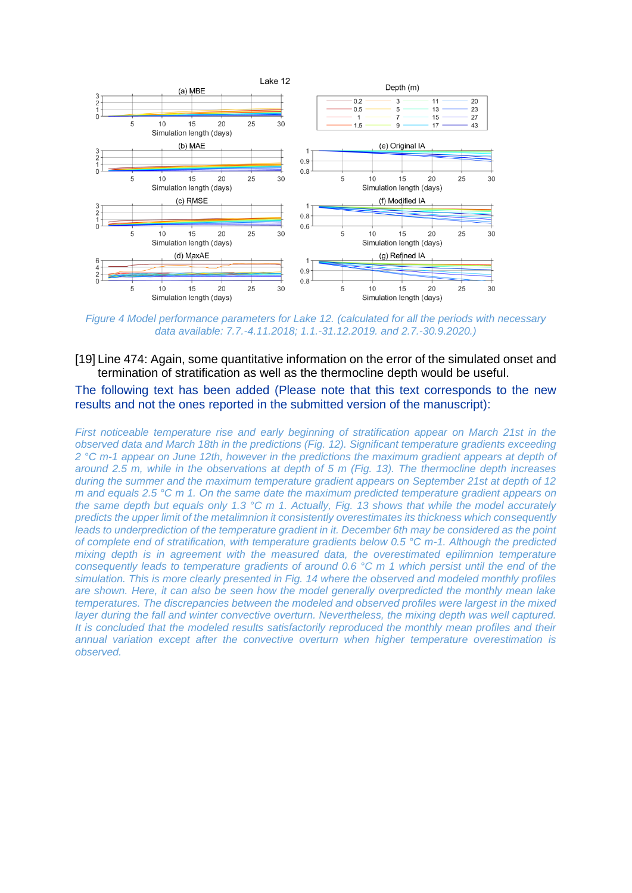

*Figure 4 Model performance parameters for Lake 12. (calculated for all the periods with necessary data available: 7.7.-4.11.2018; 1.1.-31.12.2019. and 2.7.-30.9.2020.)*

[19] Line 474: Again, some quantitative information on the error of the simulated onset and termination of stratification as well as the thermocline depth would be useful.

The following text has been added (Please note that this text corresponds to the new results and not the ones reported in the submitted version of the manuscript):

*First noticeable temperature rise and early beginning of stratification appear on March 21st in the observed data and March 18th in the predictions (Fig. 12). Significant temperature gradients exceeding 2 °C m-1 appear on June 12th, however in the predictions the maximum gradient appears at depth of around 2.5 m, while in the observations at depth of 5 m (Fig. 13). The thermocline depth increases during the summer and the maximum temperature gradient appears on September 21st at depth of 12 m and equals 2.5 °C m 1. On the same date the maximum predicted temperature gradient appears on the same depth but equals only 1.3 °C m 1. Actually, Fig. 13 shows that while the model accurately predicts the upper limit of the metalimnion it consistently overestimates its thickness which consequently leads to underprediction of the temperature gradient in it. December 6th may be considered as the point of complete end of stratification, with temperature gradients below 0.5 °C m-1. Although the predicted mixing depth is in agreement with the measured data, the overestimated epilimnion temperature consequently leads to temperature gradients of around 0.6 °C m 1 which persist until the end of the simulation. This is more clearly presented in Fig. 14 where the observed and modeled monthly profiles are shown. Here, it can also be seen how the model generally overpredicted the monthly mean lake temperatures. The discrepancies between the modeled and observed profiles were largest in the mixed layer during the fall and winter convective overturn. Nevertheless, the mixing depth was well captured. It is concluded that the modeled results satisfactorily reproduced the monthly mean profiles and their annual variation except after the convective overturn when higher temperature overestimation is observed.*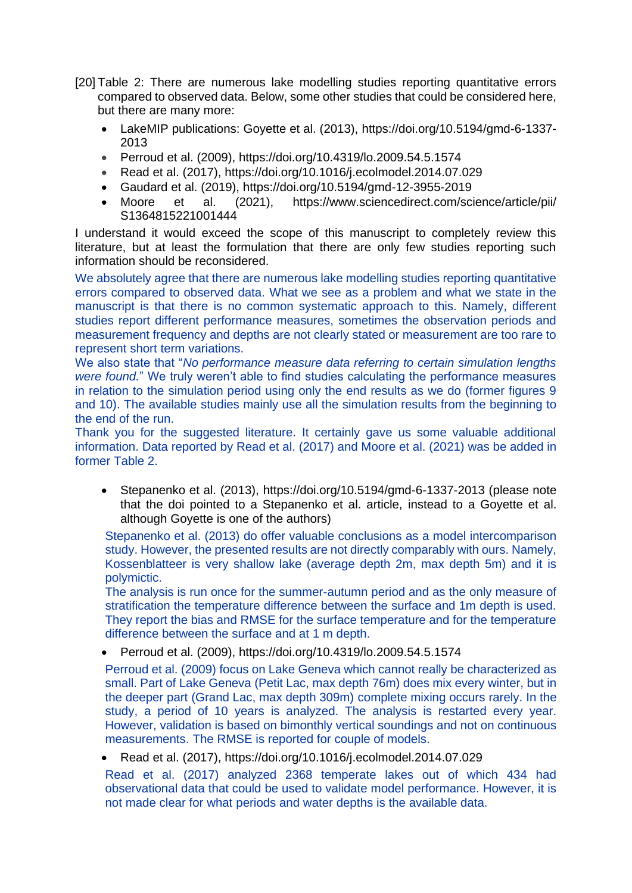- [20] Table 2: There are numerous lake modelling studies reporting quantitative errors compared to observed data. Below, some other studies that could be considered here, but there are many more:
	- LakeMIP publications: Goyette et al. (2013), [https://doi.org/10.5194/gmd-6-1337-](https://doi.org/10.5194/gmd-6-1337-2013) [2013](https://doi.org/10.5194/gmd-6-1337-2013)
	- Perroud et al. (2009), https://doi.org/10.4319/lo.2009.54.5.1574
	- Read et al. (2017),<https://doi.org/10.1016/j.ecolmodel.2014.07.029>
	- Gaudard et al. (2019), https://doi.org/10.5194/gmd-12-3955-2019
	- Moore et al. (2021), <https://www.sciencedirect.com/science/article/pii/> S1364815221001444

I understand it would exceed the scope of this manuscript to completely review this literature, but at least the formulation that there are only few studies reporting such information should be reconsidered.

We absolutely agree that there are numerous lake modelling studies reporting quantitative errors compared to observed data. What we see as a problem and what we state in the manuscript is that there is no common systematic approach to this. Namely, different studies report different performance measures, sometimes the observation periods and measurement frequency and depths are not clearly stated or measurement are too rare to represent short term variations.

We also state that "*No performance measure data referring to certain simulation lengths were found.*" We truly weren't able to find studies calculating the performance measures in relation to the simulation period using only the end results as we do (former figures 9 and 10). The available studies mainly use all the simulation results from the beginning to the end of the run.

Thank you for the suggested literature. It certainly gave us some valuable additional information. Data reported by Read et al. (2017) and Moore et al. (2021) was be added in former Table 2.

• Stepanenko et al. (2013),<https://doi.org/10.5194/gmd-6-1337-2013> (please note that the doi pointed to a Stepanenko et al. article, instead to a Goyette et al. although Goyette is one of the authors)

Stepanenko et al. (2013) do offer valuable conclusions as a model intercomparison study. However, the presented results are not directly comparably with ours. Namely, Kossenblatteer is very shallow lake (average depth 2m, max depth 5m) and it is polymictic.

The analysis is run once for the summer-autumn period and as the only measure of stratification the temperature difference between the surface and 1m depth is used. They report the bias and RMSE for the surface temperature and for the temperature difference between the surface and at 1 m depth.

• Perroud et al. (2009), https://doi.org/10.4319/lo.2009.54.5.1574

Perroud et al. (2009) focus on Lake Geneva which cannot really be characterized as small. Part of Lake Geneva (Petit Lac, max depth 76m) does mix every winter, but in the deeper part (Grand Lac, max depth 309m) complete mixing occurs rarely. In the study, a period of 10 years is analyzed. The analysis is restarted every year. However, validation is based on bimonthly vertical soundings and not on continuous measurements. The RMSE is reported for couple of models.

• Read et al. (2017),<https://doi.org/10.1016/j.ecolmodel.2014.07.029>

Read et al. (2017) analyzed 2368 temperate lakes out of which 434 had observational data that could be used to validate model performance. However, it is not made clear for what periods and water depths is the available data.